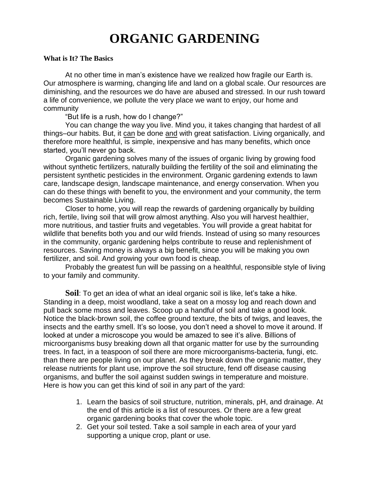# **ORGANIC GARDENING**

#### **What is It? The Basics**

At no other time in man's existence have we realized how fragile our Earth is. Our atmosphere is warming, changing life and land on a global scale. Our resources are diminishing, and the resources we do have are abused and stressed. In our rush toward a life of convenience, we pollute the very place we want to enjoy, our home and community

"But life is a rush, how do I change?"

You can change the way you live. Mind you, it takes changing that hardest of all things–our habits. But, it can be done and with great satisfaction. Living organically, and therefore more healthful, is simple, inexpensive and has many benefits, which once started, you'll never go back.

Organic gardening solves many of the issues of organic living by growing food without synthetic fertilizers, naturally building the fertility of the soil and eliminating the persistent synthetic pesticides in the environment. Organic gardening extends to lawn care, landscape design, landscape maintenance, and energy conservation. When you can do these things with benefit to you, the environment and your community, the term becomes Sustainable Living.

Closer to home, you will reap the rewards of gardening organically by building rich, fertile, living soil that will grow almost anything. Also you will harvest healthier, more nutritious, and tastier fruits and vegetables. You will provide a great habitat for wildlife that benefits both you and our wild friends. Instead of using so many resources in the community, organic gardening helps contribute to reuse and replenishment of resources. Saving money is always a big benefit, since you will be making you own fertilizer, and soil. And growing your own food is cheap.

Probably the greatest fun will be passing on a healthful, responsible style of living to your family and community.

**Soil**: To get an idea of what an ideal organic soil is like, let's take a hike. Standing in a deep, moist woodland, take a seat on a mossy log and reach down and pull back some moss and leaves. Scoop up a handful of soil and take a good look. Notice the black-brown soil, the coffee ground texture, the bits of twigs, and leaves, the insects and the earthy smell. It's so loose, you don't need a shovel to move it around. If looked at under a microscope you would be amazed to see it's alive. Billions of microorganisms busy breaking down all that organic matter for use by the surrounding trees. In fact, in a teaspoon of soil there are more microorganisms-bacteria, fungi, etc. than there are people living on our planet. As they break down the organic matter, they release nutrients for plant use, improve the soil structure, fend off disease causing organisms, and buffer the soil against sudden swings in temperature and moisture. Here is how you can get this kind of soil in any part of the yard:

- 1. Learn the basics of soil structure, nutrition, minerals, pH, and drainage. At the end of this article is a list of resources. Or there are a few great organic gardening books that cover the whole topic.
- 2. Get your soil tested. Take a soil sample in each area of your yard supporting a unique crop, plant or use.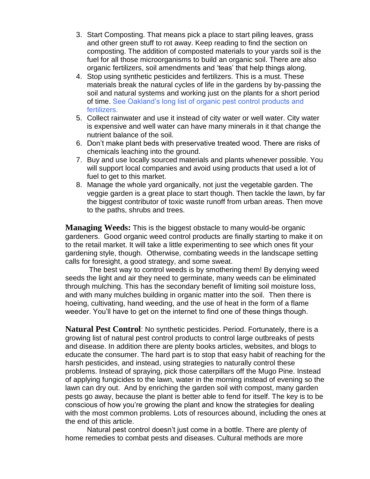- 3. Start Composting. That means pick a place to start piling leaves, grass and other green stuff to rot away. Keep reading to find the section on composting. The addition of composted materials to your yards soil is the fuel for all those microorganisms to build an organic soil. There are also organic fertilizers, soil amendments and 'teas' that help things along.
- 4. Stop using synthetic pesticides and fertilizers. This is a must. These materials break the natural cycles of life in the gardens by by-passing the soil and natural systems and working just on the plants for a short period of time. See Oakland's long list of organic pest control products and fertilizers.
- 5. Collect rainwater and use it instead of city water or well water. City water is expensive and well water can have many minerals in it that change the nutrient balance of the soil.
- 6. Don't make plant beds with preservative treated wood. There are risks of chemicals leaching into the ground.
- 7. Buy and use locally sourced materials and plants whenever possible. You will support local companies and avoid using products that used a lot of fuel to get to this market.
- 8. Manage the whole yard organically, not just the vegetable garden. The veggie garden is a great place to start though. Then tackle the lawn, by far the biggest contributor of toxic waste runoff from urban areas. Then move to the paths, shrubs and trees.

**Managing Weeds:** This is the biggest obstacle to many would-be organic gardeners. Good organic weed control products are finally starting to make it on to the retail market. It will take a little experimenting to see which ones fit your gardening style, though. Otherwise, combating weeds in the landscape setting calls for foresight, a good strategy, and some sweat.

The best way to control weeds is by smothering them! By denying weed seeds the light and air they need to germinate, many weeds can be eliminated through mulching. This has the secondary benefit of limiting soil moisture loss, and with many mulches building in organic matter into the soil. Then there is hoeing, cultivating, hand weeding, and the use of heat in the form of a flame weeder. You'll have to get on the internet to find one of these things though.

**Natural Pest Control**: No synthetic pesticides. Period. Fortunately, there is a growing list of natural pest control products to control large outbreaks of pests and disease. In addition there are plenty books articles, websites, and blogs to educate the consumer. The hard part is to stop that easy habit of reaching for the harsh pesticides, and instead, using strategies to naturally control these problems. Instead of spraying, pick those caterpillars off the Mugo Pine. Instead of applying fungicides to the lawn, water in the morning instead of evening so the lawn can dry out. And by enriching the garden soil with compost, many garden pests go away, because the plant is better able to fend for itself. The key is to be conscious of how you're growing the plant and know the strategies for dealing with the most common problems. Lots of resources abound, including the ones at the end of this article.

Natural pest control doesn't just come in a bottle. There are plenty of home remedies to combat pests and diseases. Cultural methods are more